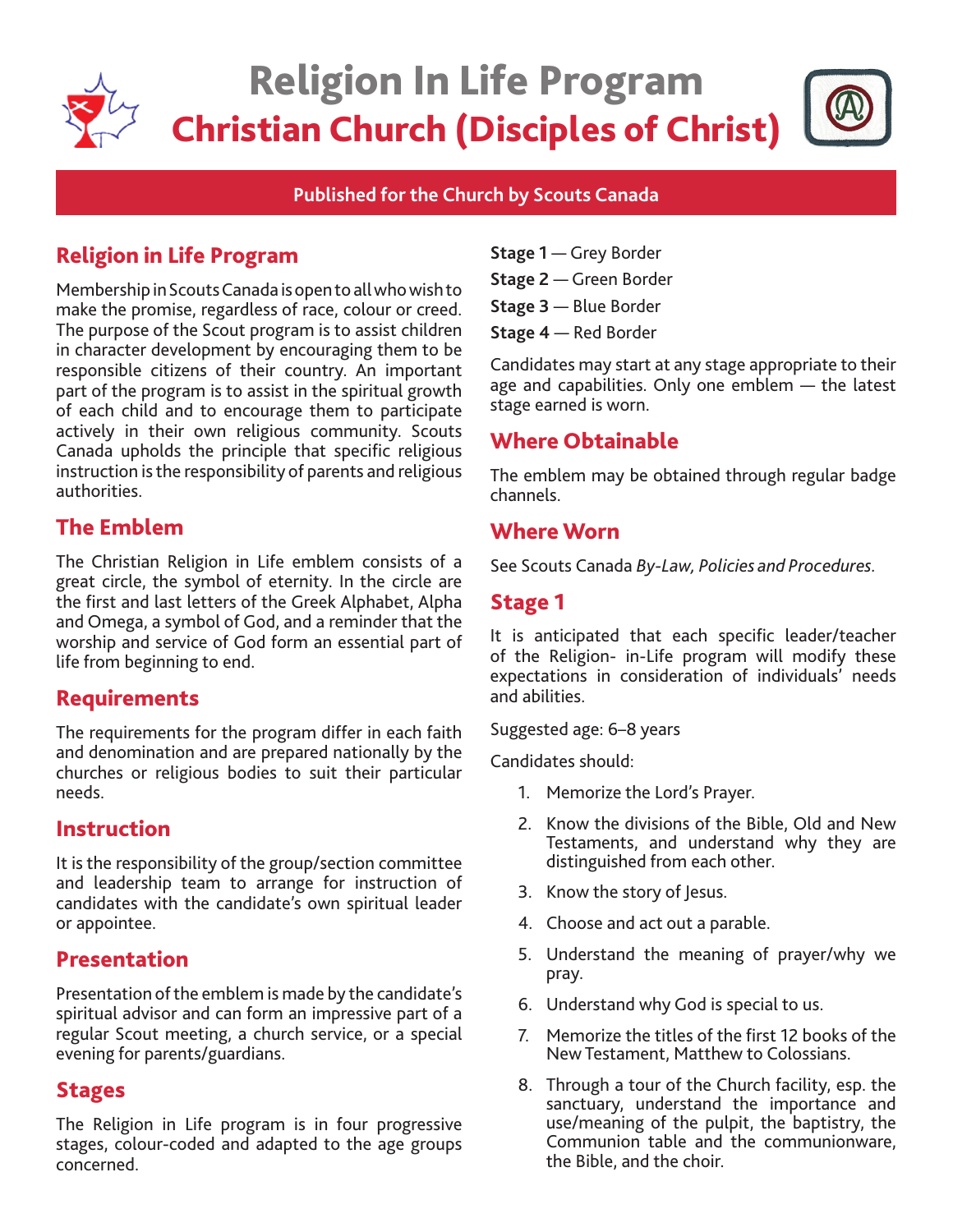

# Religion In Life Program Christian Church (Disciples of Christ)



#### **Published for the Church by Scouts Canada**

# Religion in Life Program

Membership in Scouts Canada is open to all who wish to make the promise, regardless of race, colour or creed. The purpose of the Scout program is to assist children in character development by encouraging them to be responsible citizens of their country. An important part of the program is to assist in the spiritual growth of each child and to encourage them to participate actively in their own religious community. Scouts Canada upholds the principle that specific religious instruction is the responsibility of parents and religious authorities.

## The Emblem

The Christian Religion in Life emblem consists of a great circle, the symbol of eternity. In the circle are the first and last letters of the Greek Alphabet, Alpha and Omega, a symbol of God, and a reminder that the worship and service of God form an essential part of life from beginning to end.

## Requirements

The requirements for the program differ in each faith and denomination and are prepared nationally by the churches or religious bodies to suit their particular needs.

#### Instruction

It is the responsibility of the group/section committee and leadership team to arrange for instruction of candidates with the candidate's own spiritual leader or appointee.

#### Presentation

Presentation of the emblem is made by the candidate's spiritual advisor and can form an impressive part of a regular Scout meeting, a church service, or a special evening for parents/guardians.

#### Stages

The Religion in Life program is in four progressive stages, colour-coded and adapted to the age groups concerned.

- **Stage 1** Grey Border
- **Stage 2** Green Border
- **Stage 3** Blue Border
- **Stage 4** Red Border

Candidates may start at any stage appropriate to their age and capabilities. Only one emblem — the latest stage earned is worn.

## Where Obtainable

The emblem may be obtained through regular badge channels.

#### Where Worn

See Scouts Canada *By-Law, Policies and Procedures.*

### Stage 1

It is anticipated that each specific leader/teacher of the Religion- in-Life program will modify these expectations in consideration of individuals' needs and abilities.

Suggested age: 6–8 years

Candidates should:

- 1. Memorize the Lord's Prayer.
- 2. Know the divisions of the Bible, Old and New Testaments, and understand why they are distinguished from each other.
- 3. Know the story of Jesus.
- 4. Choose and act out a parable.
- 5. Understand the meaning of prayer/why we pray.
- 6. Understand why God is special to us.
- 7. Memorize the titles of the first 12 books of the New Testament, Matthew to Colossians.
- 8. Through a tour of the Church facility, esp. the sanctuary, understand the importance and use/meaning of the pulpit, the baptistry, the Communion table and the communionware, the Bible, and the choir.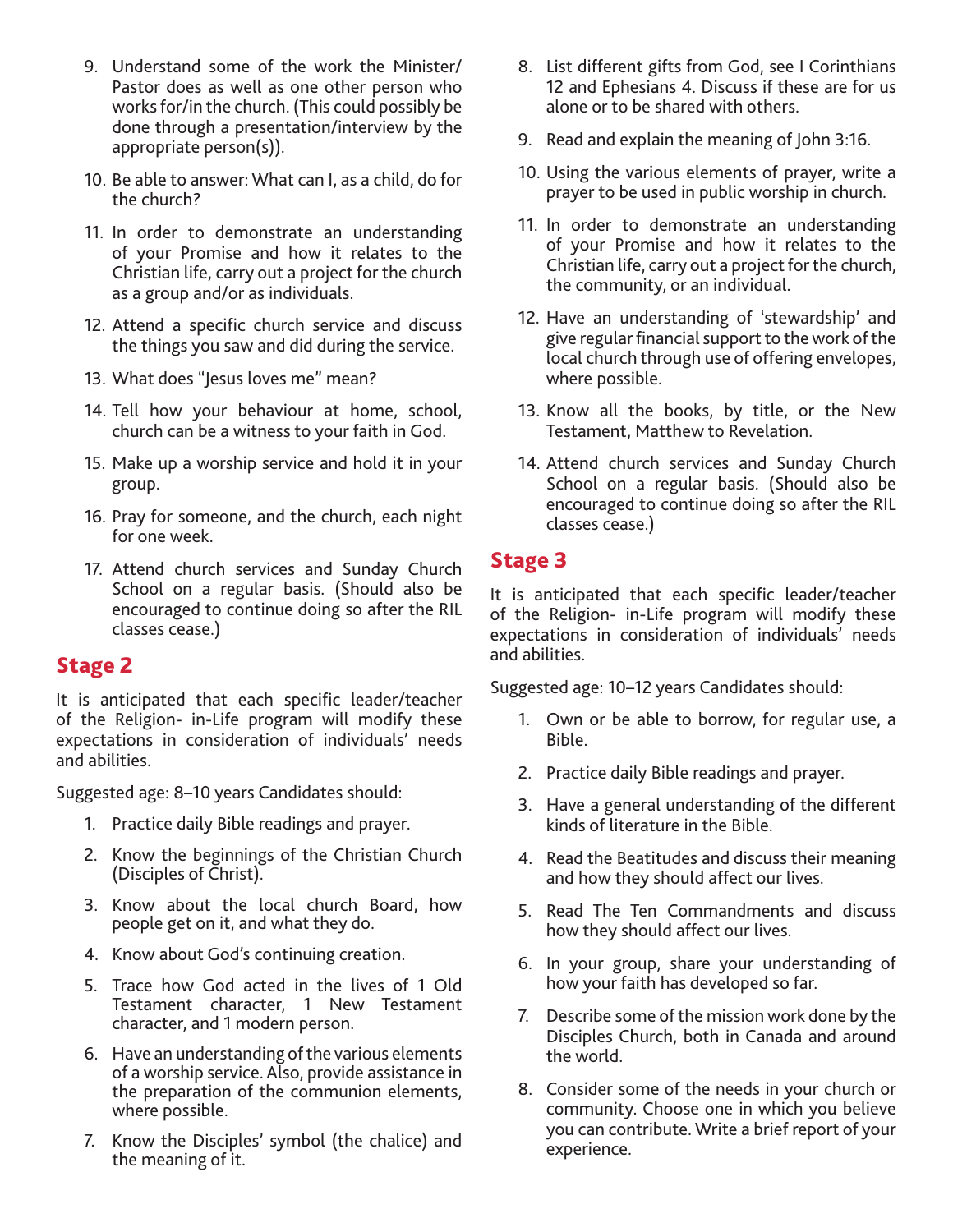- 9. Understand some of the work the Minister/ Pastor does as well as one other person who works for/in the church. (This could possibly be done through a presentation/interview by the appropriate person(s)).
- 10. Be able to answer: What can I, as a child, do for the church?
- 11. In order to demonstrate an understanding of your Promise and how it relates to the Christian life, carry out a project for the church as a group and/or as individuals.
- 12. Attend a specific church service and discuss the things you saw and did during the service.
- 13. What does "Jesus loves me" mean?
- 14. Tell how your behaviour at home, school, church can be a witness to your faith in God.
- 15. Make up a worship service and hold it in your group.
- 16. Pray for someone, and the church, each night for one week.
- 17. Attend church services and Sunday Church School on a regular basis. (Should also be encouraged to continue doing so after the RIL classes cease.)

#### Stage 2

It is anticipated that each specific leader/teacher of the Religion- in-Life program will modify these expectations in consideration of individuals' needs and abilities.

Suggested age: 8–10 years Candidates should:

- 1. Practice daily Bible readings and prayer.
- 2. Know the beginnings of the Christian Church (Disciples of Christ).
- 3. Know about the local church Board, how people get on it, and what they do.
- 4. Know about God's continuing creation.
- 5. Trace how God acted in the lives of 1 Old Testament character, 1 New Testament character, and 1 modern person.
- 6. Have an understanding of the various elements of a worship service. Also, provide assistance in the preparation of the communion elements, where possible.
- 7. Know the Disciples' symbol (the chalice) and the meaning of it.
- 8. List different gifts from God, see I Corinthians 12 and Ephesians 4. Discuss if these are for us alone or to be shared with others.
- 9. Read and explain the meaning of John 3:16.
- 10. Using the various elements of prayer, write a prayer to be used in public worship in church.
- 11. In order to demonstrate an understanding of your Promise and how it relates to the Christian life, carry out a project for the church, the community, or an individual.
- 12. Have an understanding of 'stewardship' and give regular financial support to the work of the local church through use of offering envelopes, where possible.
- 13. Know all the books, by title, or the New Testament, Matthew to Revelation.
- 14. Attend church services and Sunday Church School on a regular basis. (Should also be encouraged to continue doing so after the RIL classes cease.)

## Stage 3

It is anticipated that each specific leader/teacher of the Religion- in-Life program will modify these expectations in consideration of individuals' needs and abilities.

Suggested age: 10–12 years Candidates should:

- 1. Own or be able to borrow, for regular use, a Bible.
- 2. Practice daily Bible readings and prayer.
- 3. Have a general understanding of the different kinds of literature in the Bible.
- 4. Read the Beatitudes and discuss their meaning and how they should affect our lives.
- 5. Read The Ten Commandments and discuss how they should affect our lives.
- 6. In your group, share your understanding of how your faith has developed so far.
- 7. Describe some of the mission work done by the Disciples Church, both in Canada and around the world.
- 8. Consider some of the needs in your church or community. Choose one in which you believe you can contribute. Write a brief report of your experience.